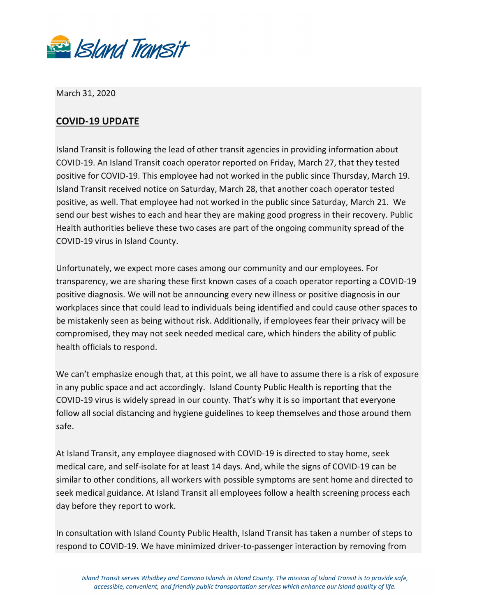

March 31, 2020

## **COVID-19 UPDATE**

Island Transit is following the lead of other transit agencies in providing information about COVID-19. An Island Transit coach operator reported on Friday, March 27, that they tested positive for COVID-19. This employee had not worked in the public since Thursday, March 19. Island Transit received notice on Saturday, March 28, that another coach operator tested positive, as well. That employee had not worked in the public since Saturday, March 21. We send our best wishes to each and hear they are making good progress in their recovery. Public Health authorities believe these two cases are part of the ongoing community spread of the COVID-19 virus in Island County.

Unfortunately, we expect more cases among our community and our employees. For transparency, we are sharing these first known cases of a coach operator reporting a COVID-19 positive diagnosis. We will not be announcing every new illness or positive diagnosis in our workplaces since that could lead to individuals being identified and could cause other spaces to be mistakenly seen as being without risk. Additionally, if employees fear their privacy will be compromised, they may not seek needed medical care, which hinders the ability of public health officials to respond.

We can't emphasize enough that, at this point, we all have to assume there is a risk of exposure in any public space and act accordingly. Island County Public Health is reporting that the COVID-19 virus is widely spread in our county. That's why it is so important that everyone follow all social distancing and hygiene guidelines to keep themselves and those around them safe.

At Island Transit, any employee diagnosed with COVID-19 is directed to stay home, seek medical care, and self-isolate for at least 14 days. And, while the signs of COVID-19 can be similar to other conditions, all workers with possible symptoms are sent home and directed to seek medical guidance. At Island Transit all employees follow a health screening process each day before they report to work.

In consultation with Island County Public Health, Island Transit has taken a number of steps to respond to COVID-19. We have minimized driver-to-passenger interaction by removing from